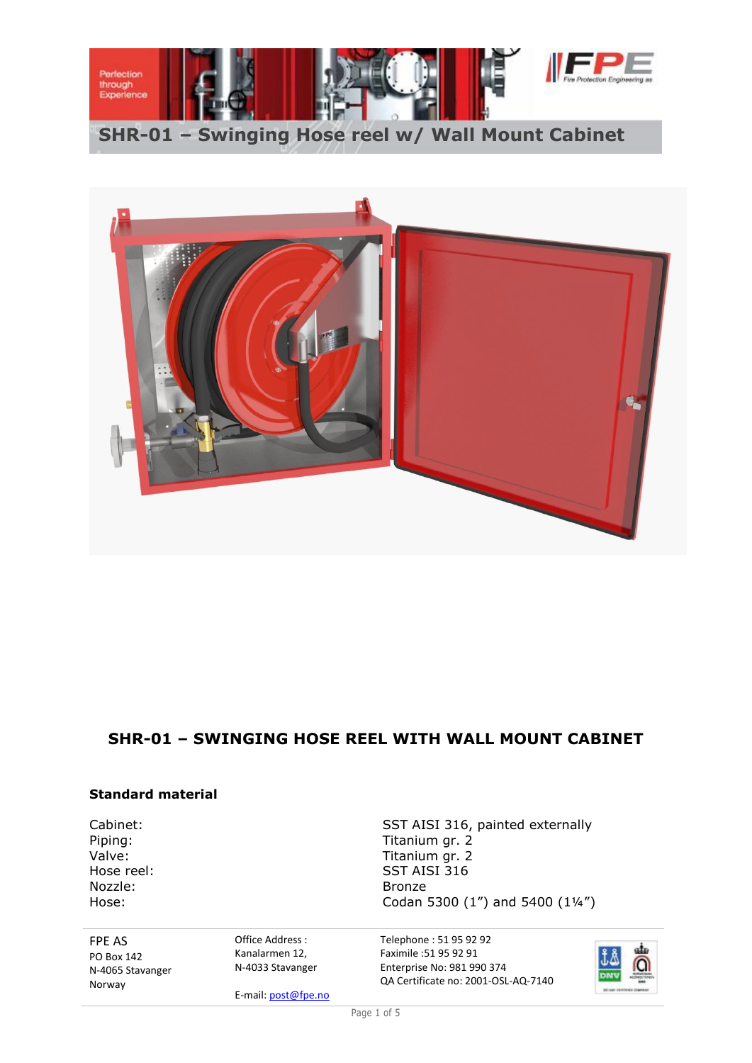



# **SHR-01 – SWINGING HOSE REEL WITH WALL MOUNT CABINET**

## **Standard material**

Cabinet: Cabinet: SST AISI 316, painted externally Nozzle: Bronze

Piping: Titanium gr. 2<br>
Valve: Titanium gr. 2 Valve:<br>
Valve: Titanium gr. 2<br>
Hose reel: SST AISI 316 SST AISI 316 Hose: Codan 5300 (1") and 5400 (1'4")

FPE AS PO Box 142 N-4065 Stavanger Norway

Office Address : Kanalarmen 12, N-4033 Stavanger

E-mail: post@fpe.no

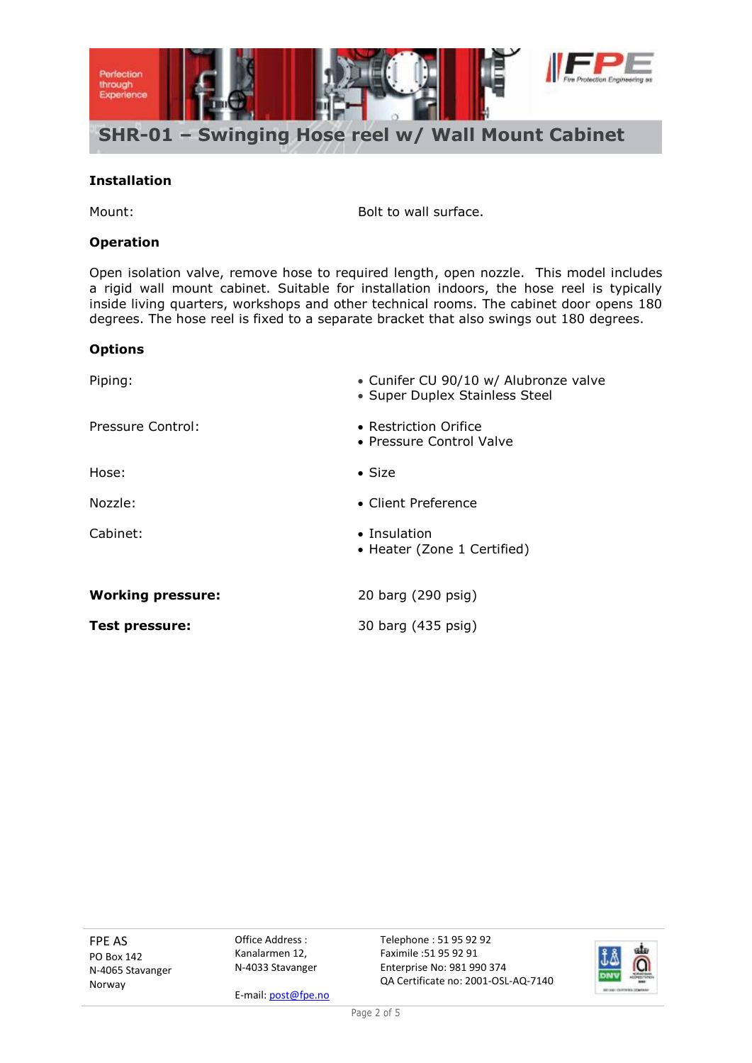

#### **Installation**

Mount: Mount: Mount: Bolt to wall surface.

## **Operation**

Open isolation valve, remove hose to required length, open nozzle. This model includes a rigid wall mount cabinet. Suitable for installation indoors, the hose reel is typically inside living quarters, workshops and other technical rooms. The cabinet door opens 180 degrees. The hose reel is fixed to a separate bracket that also swings out 180 degrees.

#### **Options**

| Piping:                  | • Cunifer CU 90/10 w/ Alubronze valve<br>• Super Duplex Stainless Steel |  |
|--------------------------|-------------------------------------------------------------------------|--|
| Pressure Control:        | • Restriction Orifice<br>• Pressure Control Valve                       |  |
| Hose:                    | $\bullet$ Size                                                          |  |
| Nozzle:                  | • Client Preference                                                     |  |
| Cabinet:                 | $\bullet$ Insulation<br>• Heater (Zone 1 Certified)                     |  |
| <b>Working pressure:</b> | 20 barg (290 psig)                                                      |  |
| <b>Test pressure:</b>    | 30 barg (435 psig)                                                      |  |

FPE AS PO Box 142 N-4065 Stavanger Norway

Office Address : Kanalarmen 12, N-4033 Stavanger

E-mail: post@fpe.no

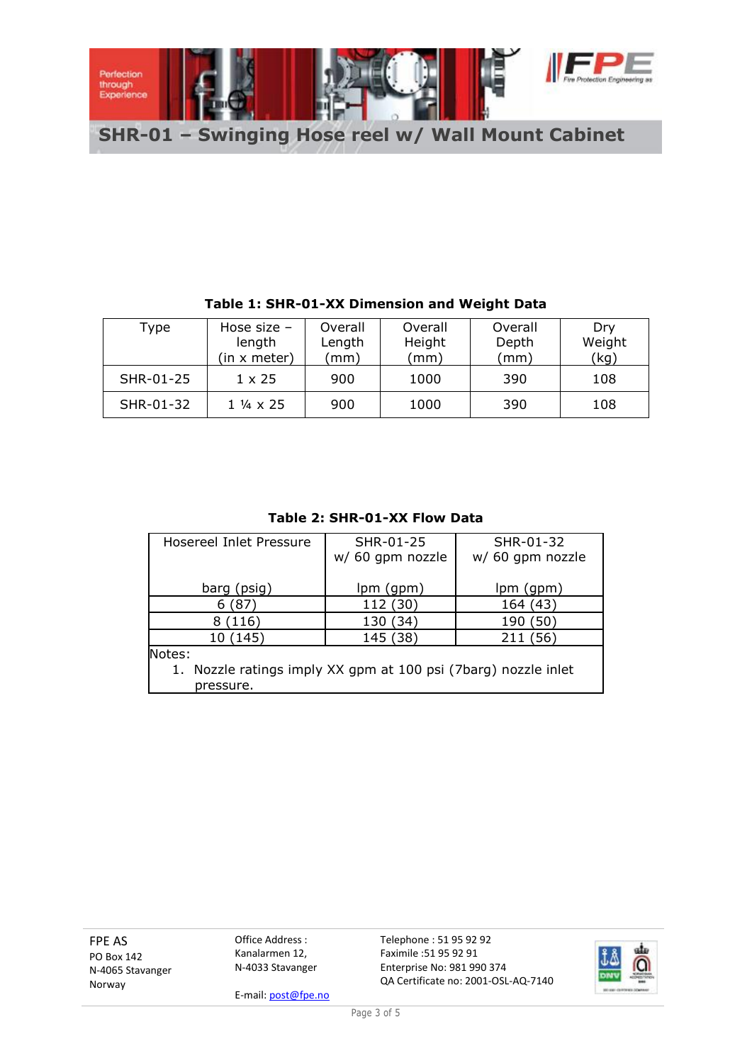

| Type      | Hose size $-$<br>length<br>(in x meter) | Overall<br>Length<br>(mm) | Overall<br>Height<br>(mm | Overall<br>Depth<br>mm) | Dry<br>Weight<br>(kg) |
|-----------|-----------------------------------------|---------------------------|--------------------------|-------------------------|-----------------------|
| SHR-01-25 | $1 \times 25$                           | 900                       | 1000                     | 390                     | 108                   |
| SHR-01-32 | 1 ¼ x 25                                | 900                       | 1000                     | 390                     | 108                   |

## **Table 1: SHR-01-XX Dimension and Weight Data**

**Table 2: SHR-01-XX Flow Data**

| Hosereel Inlet Pressure                                                     | SHR-01-25<br>w/ 60 gpm nozzle | SHR-01-32<br>w/ 60 gpm nozzle |  |  |
|-----------------------------------------------------------------------------|-------------------------------|-------------------------------|--|--|
| barg (psig)                                                                 | lpm (gpm)                     | lpm(gpm)                      |  |  |
| (87)<br>6                                                                   | 112 (30)                      | 164 (43)                      |  |  |
| (116)                                                                       | 130 (34)                      | 190 (50)                      |  |  |
| 10 (145)                                                                    | 145 (38)                      | 211 (56)                      |  |  |
| Notes:                                                                      |                               |                               |  |  |
| 1. Nozzle ratings imply XX gpm at 100 psi (7barg) nozzle inlet<br>pressure. |                               |                               |  |  |

FPE AS PO Box 142 N-4065 Stavanger Norway

Office Address : Kanalarmen 12, N-4033 Stavanger

E-mail: post@fpe.no

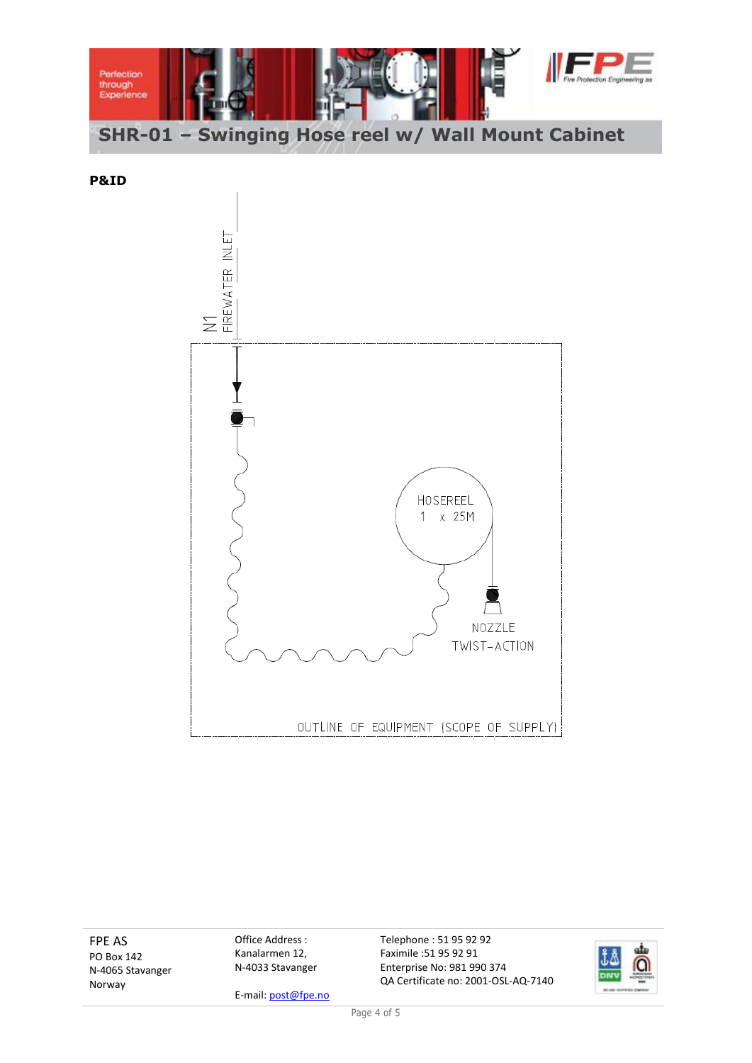

**P&ID**



FPE AS PO Box 142 N-4065 Stavanger Norway

Office Address : Kanalarmen 12, N-4033 Stavanger

E-mail: post@fpe.no